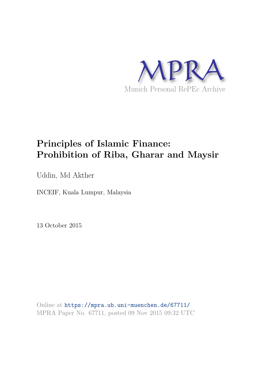

# **Principles of Islamic Finance: Prohibition of Riba, Gharar and Maysir**

Uddin, Md Akther

INCEIF, Kuala Lumpur, Malaysia

13 October 2015

Online at https://mpra.ub.uni-muenchen.de/67711/ MPRA Paper No. 67711, posted 09 Nov 2015 09:32 UTC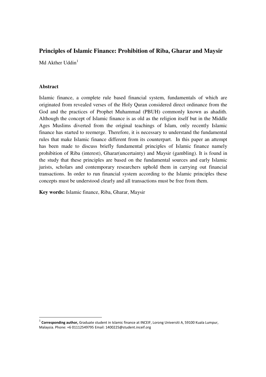# **Principles of Islamic Finance: Prohibition of Riba, Gharar and Maysir**

Md Akther Hddin<sup>1</sup>

# **Abstract**

 $\overline{a}$ 

Islamic finance, a complete rule based financial system, fundamentals of which are originated from revealed verses of the Holy Quran considered direct ordinance from the God and the practices of Prophet Muhammad (PBUH) commonly known as ahadith. Although the concept of Islamic finance is as old as the religion itself but in the Middle Ages Muslims diverted from the original teachings of Islam, only recently Islamic finance has started to reemerge. Therefore, it is necessary to understand the fundamental rules that make Islamic finance different from its counterpart. In this paper an attempt has been made to discuss briefly fundamental principles of Islamic finance namely prohibition of Riba (interest), Gharar(uncertainty) and Maysir (gambling). It is found in the study that these principles are based on the fundamental sources and early Islamic jurists, scholars and contemporary researchers uphold them in carrying out financial transactions. In order to run financial system according to the Islamic principles these concepts must be understood clearly and all transactions must be free from them.

**Key words:** Islamic finance, Riba, Gharar, Maysir

<sup>&</sup>lt;sup>1</sup> Corresponding author, Graduate student in Islamic finance at INCEIF, Lorong Universiti A, 59100 Kuala Lumpur, Malaysia. Phone: +6 01112549795 Email: 1400225@student.inceif.org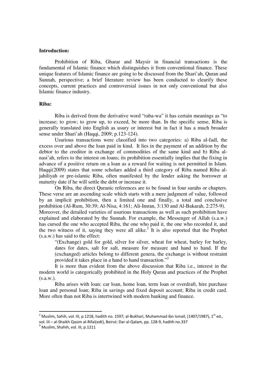### **Introduction:**

Prohibition of Riba, Gharar and Maysir in financial transactions is the fundamental of Islamic finance which distinguishes it from conventional finance. These unique features of Islamic finance are going to be discussed from the Shari'ah, Quran and Sunnah, perspective; a brief literature review has been conducted to clearify these concepts, current practices and controversial issues in not only conventional but also Islamic finance industry.

# **Riba:**

Riba is derived from the derivative word "raba-wa" it has certain meanings as "to increase; to grow; to grow up, to exceed, be more than. In the specific sense, Riba is generally translated into English as usury or interest but in fact it has a much broader sense under Shari'ah (Haqqi, 2009; p.123-124).

Usurious transactions were classified into two categories: a) Riba al-fadl, the excess over and above the loan paid in kind. It lies in the payment of an addition by the debtor to the creditor in exchange of commodities of the same kind and b) Riba alnasi'ah, refers to the interest on loans; its prohibition essentially implies that the fixing in advance of a positive return on a loan as a reward for waiting is not permitted in Islam. Haqqi(2009) states that some scholars added a third category of Riba named Riba aljahiliyah or pre-islamic Riba, often manifested by the lender asking the borrower at maturity date if he will settle the debt or increase it.

On Riba, the direct Quranic references are to be found in four surahs or chapters. These verse are an ascending scale which starts with a mere judgment of value, followed by an implicit prohibition, then a limited one and finally, a total and conclusive prohibition (Al-Rum, 30:39; Al-Nisa, 4:161; Ali-Imran, 3:130 and Al-Bakarah, 2:275-9). Moreover, the detailed varieties of usurious transactions as well as such prohibition have explained and elaborated by the Sunnah. For example, the Messenger of Allah (s.a.w.) has cursed the one who accepted Riba, the one who paid it, the one who recorded it, and the two witness of it, saying they were all alike.<sup>2</sup> It is also reported that the Prophet (s.a.w.) has said to the effect:

"(Exchange) gold for gold, silver for silver, wheat for wheat, barley for barley, dates for dates, salt for salt, measure for measure and hand to hand. If the (exchanged) articles belong to different genera, the exchange is without restraint provided it takes place in a hand to hand transaction."<sup>3</sup>

It is more than evident from the above discussion that Riba i.e., interest in the modern world is categorically prohibited in the Holy Quran and practices of the Prophet  $(s.a.w.).$ 

Riba arises with loan: car loan, home loan, term loan or overdraft, hire purchase loan and personal loan; Riba in savings and fixed deposit account; Riba in credit card. More often than not Riba is intertwined with modern banking and finance.

 $\overline{a}$ 

 $^{\text{2}}$  Muslim, Sahih, vol. III, p.1218, hadith no. 1597; al-Bukhari, Muhammad ibn Ismail, (1407/1987), 1 $^{\text{st}}$  ed.,

vol. III – al-Shaikh Qasim al-Rifai(edt), Beirut: Dar al-Qalam, pp. 128-9, hadith no.337

 $3$  Muslim, Shahih, vol. III, p.1211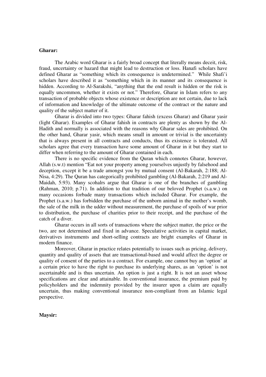#### **Gharar:**

The Arabic word Gharar is a fairly broad concept that literally means deceit, risk, fraud, uncertainty or hazard that might lead to destruction or loss. Hanafi scholars have defined Gharar as "something which its consequence is undetermined." While Shafi'i scholars have described it as "something which in its manner and its consequence is hidden. According to Al-Sarakshi, "anything that the end result is hidden or the risk is equally uncommon, whether it exists or not." Therefore, Gharar in Islam refers to any transaction of probable objects whose existence or description are not certain, due to lack of information and knowledge of the ultimate outcome of the contract or the nature and quality of the subject matter of it.

Gharar is divided into two types: Gharar fahish (excess Gharar) and Gharar yasir (light Gharar). Examples of Gharar fahish in contracts are plenty as shown by the Al-Hadith and normally is associated with the reasons why Gharar sales are prohibited. On the other hand, Gharar yasir, which means small in amount or trivial is the uncertainty that is always present in all contracts and conducts, thus its existence is tolerated. All scholars agree that every transaction have some amount of Gharar in it but they start to differ when referring to the amount of Gharar contained in each.

There is no specific evidence from the Quran which connotes Gharar, however, Allah (s.w.t) mention "Eat not your property among yourselves unjustly by falsehood and deception, except it be a trade amongst you by mutual consent (Al-Bakarah, 2:188; Al-Nisa, 4:29). The Quran has categorically prohibited gambling (Al-Bakarah, 2:219 and Al-Maidah, 5:93). Many scohalrs argue that Gharar is one of the branches of gambling (Rahman, 2010; p.71). In addition to that tradition of our beloved Prophet (s.a.w.) on many occasions forbade many transactions which included Gharar. For example, the Prophet (s.a.w.) has forbidden the purchase of the unborn animal in the mother's womb, the sale of the milk in the udder without measurement, the purchase of spoils of war prior to distribution, the purchase of charities prior to their receipt, and the purchase of the catch of a diver.

Gharar occurs in all sorts of transactions where the subject matter, the price or the two, are not determined and fixed in advance. Speculative activities in capital market, derivatives instruments and short-selling contracts are bright examples of Gharar in modern finance.

Moreover, Gharar in practice relates potentially to issues such as pricing, delivery, quantity and quality of assets that are transactional-based and would affect the degree or quality of consent of the parties to a contract. For example, one cannot buy an 'option' at a certain price to have the right to purchase its underlying shares, as an 'option' is not ascertainable and is thus uncertain. An option is just a right. It is not an asset whose specifications are clear and attainable. In conventional insurance, the premium paid by policyholders and the indemnity provided by the insurer upon a claim are equally uncertain, thus making conventional insurance non-compliant from an Islamic legal perspective.

#### **Maysir:**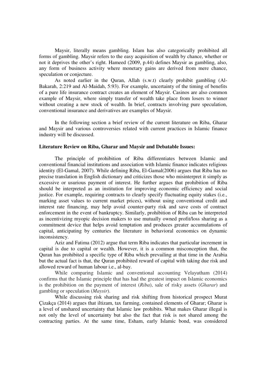Maysir, literally means gambling. Islam has also categorically prohibited all forms of gambling. Maysir refers to the easy acquisition of wealth by chance, whether or not it deprives the other's right. Hameed (2009, p.44) defines Maysir as gambling, also, any form of business activity where monetary gains are derived from mere chance, speculation or conjecture.

As noted earlier in the Quran, Allah (s.w.t) clearly prohibit gambling (Al-Bakarah, 2:219 and Al-Maidah, 5:93). For example, uncertainty of the timing of benefits of a pure life insurance contract creates an element of Maysir. Casinos are also common example of Maysir, where simply transfer of wealth take place from losers to winner without creating a new stock of wealth. In brief, contracts involving pure speculation, conventional insurance and derivatives are examples of Maysir.

In the following section a brief review of the current literature on Riba, Gharar and Maysir and various controversies related with current practices in Islamic finance industry will be discussed.

#### **Literature Review on Riba, Gharar and Maysir and Debatable Issues:**

The principle of prohibition of Riba differentiates between Islamic and conventional financial institutions and association with Islamic finance indicates religious identity (El-Gamal, 2007). While defining Riba, El-Gamal(2006) argues that Riba has no precise translation in English dictionary and criticizes those who misinterpret it simply as excessive or usurious payment of interest. He further argues that prohibition of Riba should be interpreted as an institution for improving economic efficiency and social justice. For example, requiring contracts to clearly specify fluctuating equity stakes (i.e., marking asset values to current market prices), without using conventional credit and interest rate financing, may help avoid counter-party risk and save costs of contract enforcement in the event of bankruptcy. Similarly, prohibition of Riba can be interpreted as incentivizing myopic decision makers to use mutually owned profit/loss sharing as a commitment device that helps avoid temptation and produces greater accumulations of capital, anticipating by centuries the literature in behavioral economics on dynamic inconsistency.

Aziz and Fatima (2012) argue that term Riba indicates that particular increment in capital is due to capital or wealth. However, it is a common misconception that, the Quran has prohibited a specific type of Riba which prevailing at that time in the Arabia but the actual fact is that, the Quran prohibited reward of capital with taking due risk and allowed reward of human labour i.e., al-bay.

While comparing Islamic and conventional accounting Velayutham (2014) confirms that the Islamic principle that has had the greatest impact on Islamic economics is the prohibition on the payment of interest (*Riba*), sale of risky assets (*Gharar*) and gambling or speculation (*Maysir*).

While discussing risk sharing and risk shifting from historical prospect Murat Çizakça (2014) argues that iltizam, tax farming, contained elements of Gharar; Gharar is a level of unshared uncertainty that Islamic law prohibits. What makes Gharar illegal is not only the level of uncertainty but also the fact that risk is not shared among the contracting parties. At the same time, Esham, early Islamic bond, was considered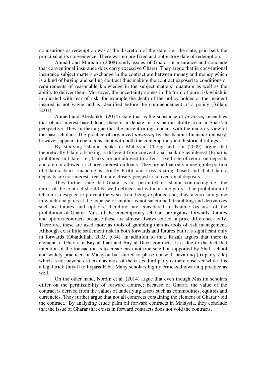nonusurious as redemption was at the discretion of the state, i.e., the state, paid back the principal at its convenience. There was no pre-fixed and obligatory date of redemption.

Ahmad and Marhaini (2008) study issues of Gharar in insurance and conclude that conventional insurance does carry excessive Gharar. They argue that in conventional insurance subject matters exchange in the contract are between money and money which is a kind of buying and selling contract thus making the contract exposed to conditions or requirements of reasonable knowledge in the subject matters' quantum as well as the ability to deliver them. Moreover, the uncertainty comes in the form of pure risk which is implicated with fear of risk, for example the death of the policy holder or the incident insured is not vague and is identified before the commencement of a policy (Billah, 2001).

Ahmed and Aleshaikh (2014) state that as the substance of *tawarruq* resembles that of an interest-based loan, there is a debate on its permissibility from a Shari'ah perspective. They further argue that the current rulings concur with the majority view of the past scholars. The practice of organized *tawarruq* by the Islamic financial industry, however, appears to be inconsistent with both the contemporary and historical rulings.

By studying Islamic banks in Malaysia, Chong and Liu (2009) argue that theoretically Islamic banking is different from conventional banking as interest (Riba) is prohibited in Islam, i.e., banks are not allowed to offer a fixed rate of return on deposits and are not allowed to charge interest on loans. They argue that only a negligible portion of Islamic bank financing is strictly Profit and Loss Sharing based and that Islamic deposits are not interest-free, but are closely pegged to conventional deposits.

They further state that Gharar is not permitted in Islamic contracting i.e., the terms of the contract should be well defined and without ambiguity. The prohibition of Gharar is designed to prevent the weak from being exploited and, thus, a zero-sum game in which one gains at the expense of another is not sanctioned. Gambling and derivatives such as futures and options, therefore, are considered un-Islamic because of the prohibition of Gharar. Most of the contemporary scholars are against forwards, futures and options contracts because these are almost always settled in price differences only. Therefore, these are used more as tools of gambling than as tools of risk management. Although exist little settlement risk in both forwards and futures but it is significant only in forwards (Obaidullah, 2005, p.34). In addition to that, Razali argues that there is element of Gharar in Bay al Inah and Bay al Dayn contracts. It is due to the fact that intention of the transaction is to create cash not true sale but supported by Shafi school and widely practiced in Malaysia but started to phase out with tawaruuq (tri-party sale) which is not beyond criticism as most of the cases third party is mere observer while it is a legal trick (hiyal) to bypass Riba. Many scholars highly criticized tawaruuq practice as well.

On the other hand, Nordin et al. (2014) argue that even though Muslim scholars differ on the permissibility of forward contract because of Gharar, the value of the contract is derived from the values of underlying assets such as commodities, equities and currencies. They further argue that not all contracts containing the element of Gharar void the contract. By analyzing crude palm oil forward contracts in Malaysia, they conclude that the issue of Gharar that exists in forward contracts does not void the contracts.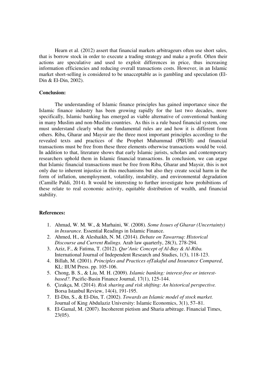Hearn et al. (2012) assert that financial markets arbitrageurs often use short sales, that is borrow stock in order to execute a trading strategy and make a profit. Often their actions are speculative and used to exploit differences in price, thus increasing information efficiencies and reducing overall transactions costs. However, in an Islamic market short-selling is considered to be unacceptable as is gambling and speculation (El-Din & El-Din, 2002).

#### **Conclusion:**

The understanding of Islamic finance principles has gained importance since the Islamic finance industry has been growing rapidly for the last two decades, more specifically, Islamic banking has emerged as viable alternative of conventional banking in many Muslim and non-Muslim countries. As this is a rule based financial system, one must understand clearly what the fundamental rules are and how it is different from others. Riba, Gharar and Maysir are the three most important principles according to the revealed texts and practices of the Prophet Muhammad (PBUH) and financial transactions must be free from these three elements otherwise transactions would be void. In addition to that, literature shows that early Islamic jurists, scholars and contemporary researchers uphold them in Islamic financial transactions. In conclusion, we can argue that Islamic financial transactions must be free from Riba, Gharar and Maysir, this is not only due to inherent injustice in this mechanisms but also they create social harm in the form of inflation, unemployment, volatility, instability, and environmental degradation (Camille Paldi, 2014). It would be interesting to further investigate how prohibitions of these relate to real economic activity, equitable distribution of wealth, and financial stability.

# **References:**

- 1. Ahmad, W. M. W., & Marhaini, W. (2008). *Some Issues of Gharar (Uncertainty) in Insurance.* Essential Readings in Islamic Finance.
- 2. Ahmed, H., & Aleshaikh, N. M. (2014). *Debate on Tawarruq: Historical Discourse and Current Rulings.* Arab law quarterly, 28(3), 278-294.
- 3. Aziz, F., & Fatima, T. (2012). *Qur'Anic Concept of Al-Bay & Al-Riba.* International Journal of Independent Research and Studies, 1(3), 118-123.
- 4. Billah, M. (2001). *Principles and Practices ofTakaful and Insurance Compared*, KL: IlUM Press. pp. 105-106.
- 5. Chong, B. S., & Liu, M. H. (2009). *Islamic banking: interest-free or interestbased?.* Pacific-Basin Finance Journal, 17(1), 125-144.
- 6. Çizakça, M. (2014). *Risk sharing and risk shifting: An historical perspective.* Borsa Istanbul Review, 14(4), 191-195.
- 7. El-Din, S., & El-Din, T. (2002). *Towards an Islamic model of stock market.* Journal of King Abdulaziz University: Islamic Economics, 3(1), 57–81.
- 8. El-Gamal, M. (2007). Incoherent pietism and Sharia arbitrage. Financial Times, 23(05).